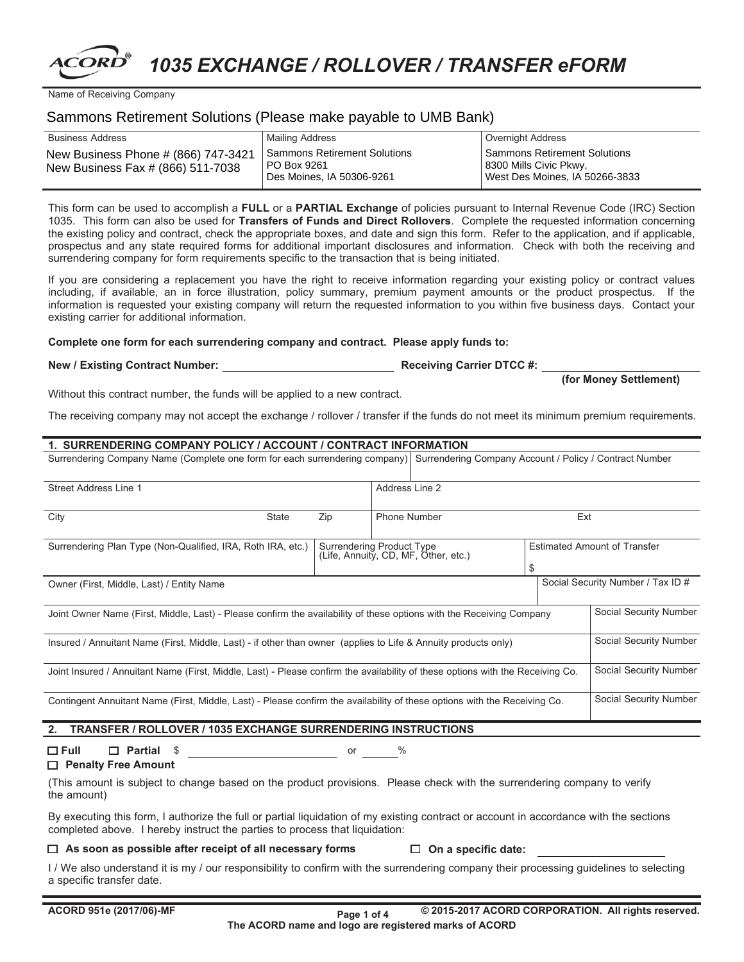# *1035 EXCHANGE / ROLLOVER / TRANSFER eFORM*

Name of Receiving Company

## Sammons Retirement Solutions (Please make payable to UMB Bank)

| Business Address                                                         | Mailing Address                                                          | Overnight Address                                                                        |
|--------------------------------------------------------------------------|--------------------------------------------------------------------------|------------------------------------------------------------------------------------------|
| New Business Phone # (866) 747-3421<br>New Business Fax # (866) 511-7038 | Sammons Retirement Solutions<br>PO Box 9261<br>Des Moines, IA 50306-9261 | Sammons Retirement Solutions<br>8300 Mills Civic Pkwy,<br>West Des Moines, IA 50266-3833 |

This form can be used to accomplish a **FULL** or a **PARTIAL Exchange** of policies pursuant to Internal Revenue Code (IRC) Section 1035. This form can also be used for **Transfers of Funds and Direct Rollovers**. Complete the requested information concerning the existing policy and contract, check the appropriate boxes, and date and sign this form. Refer to the application, and if applicable, prospectus and any state required forms for additional important disclosures and information. Check with both the receiving and surrendering company for form requirements specific to the transaction that is being initiated.

If you are considering a replacement you have the right to receive information regarding your existing policy or contract values including, if available, an in force illustration, policy summary, premium payment amounts or the product prospectus. If the information is requested your existing company will return the requested information to you within five business days. Contact your existing carrier for additional information.

#### **Complete one form for each surrendering company and contract. Please apply funds to:**

**New / Existing Contract Number:**

**Receiving Carrier DTCC #:**

**(for Money Settlement)**

Without this contract number, the funds will be applied to a new contract.

The receiving company may not accept the exchange / rollover / transfer if the funds do not meet its minimum premium requirements.

## \$ Social Security Number / Tax ID # Estimated Amount of Transfer **1. SURRENDERING COMPANY POLICY / ACCOUNT / CONTRACT INFORMATION** Phone Number Street Address Line 1 Address Line 2 Surrendering Company Name (Complete one form for each surrendering company) | Surrendering Company Account / Policy / Contract Number City **State** Zip **Ext** Contingent Annuitant Name (First, Middle, Last) - Please confirm the availability of these options with the Receiving Co. Joint Insured / Annuitant Name (First, Middle, Last) - Please confirm the availability of these options with the Receiving Co. Insured / Annuitant Name (First, Middle, Last) - if other than owner (applies to Life & Annuity products only) Joint Owner Name (First, Middle, Last) - Please confirm the availability of these options with the Receiving Company Owner (First, Middle, Last) / Entity Name Surrendering Plan Type (Non-Qualified, IRA, Roth IRA, etc.) Surrendering Product Type<br>(Life, Annuity, CD, MF, Other, etc.) Social Security Number Social Security Number Social Security Number Social Security Number

# **2. TRANSFER / ROLLOVER / 1035 EXCHANGE SURRENDERING INSTRUCTIONS**

# **Full Partial** \$ or %

#### **Penalty Free Amount**

(This amount is subject to change based on the product provisions. Please check with the surrendering company to verify the amount)

By executing this form, I authorize the full or partial liquidation of my existing contract or account in accordance with the sections completed above. I hereby instruct the parties to process that liquidation:

#### **As soon as possible after receipt of all necessary forms On a specific date:**

I / We also understand it is my / our responsibility to confirm with the surrendering company their processing guidelines to selecting a specific transfer date.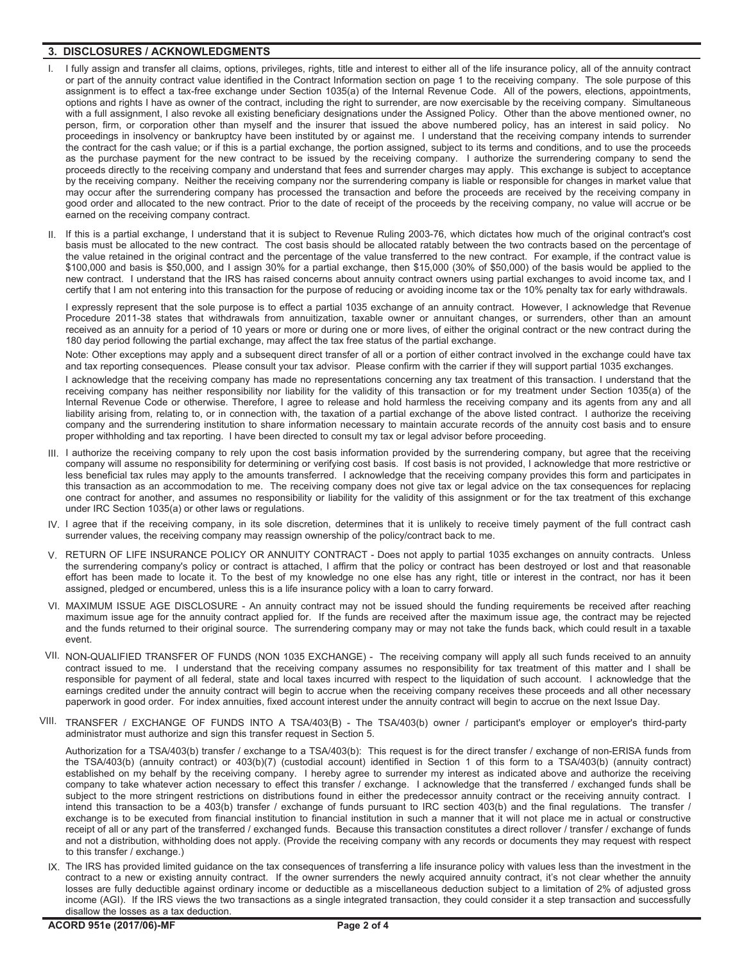#### **3. DISCLOSURES / ACKNOWLEDGMENTS**

- I fully assign and transfer all claims, options, privileges, rights, title and interest to either all of the life insurance policy, all of the annuity contract or part of the annuity contract value identified in the Contract Information section on page 1 to the receiving company. The sole purpose of this assignment is to effect a tax-free exchange under Section 1035(a) of the Internal Revenue Code. All of the powers, elections, appointments, options and rights I have as owner of the contract, including the right to surrender, are now exercisable by the receiving company. Simultaneous with a full assignment, I also revoke all existing beneficiary designations under the Assigned Policy. Other than the above mentioned owner, no person, firm, or corporation other than myself and the insurer that issued the above numbered policy, has an interest in said policy. No proceedings in insolvency or bankruptcy have been instituted by or against me. I understand that the receiving company intends to surrender the contract for the cash value; or if this is a partial exchange, the portion assigned, subject to its terms and conditions, and to use the proceeds as the purchase payment for the new contract to be issued by the receiving company. I authorize the surrendering company to send the proceeds directly to the receiving company and understand that fees and surrender charges may apply. This exchange is subject to acceptance by the receiving company. Neither the receiving company nor the surrendering company is liable or responsible for changes in market value that may occur after the surrendering company has processed the transaction and before the proceeds are received by the receiving company in good order and allocated to the new contract. Prior to the date of receipt of the proceeds by the receiving company, no value will accrue or be earned on the receiving company contract.
- II. If this is a partial exchange, I understand that it is subject to Revenue Ruling 2003-76, which dictates how much of the original contract's cost basis must be allocated to the new contract. The cost basis should be allocated ratably between the two contracts based on the percentage of the value retained in the original contract and the percentage of the value transferred to the new contract. For example, if the contract value is \$100,000 and basis is \$50,000, and I assign 30% for a partial exchange, then \$15,000 (30% of \$50,000) of the basis would be applied to the new contract. I understand that the IRS has raised concerns about annuity contract owners using partial exchanges to avoid income tax, and I certify that I am not entering into this transaction for the purpose of reducing or avoiding income tax or the 10% penalty tax for early withdrawals.

I expressly represent that the sole purpose is to effect a partial 1035 exchange of an annuity contract. However, I acknowledge that Revenue Procedure 2011-38 states that withdrawals from annuitization, taxable owner or annuitant changes, or surrenders, other than an amount received as an annuity for a period of 10 years or more or during one or more lives, of either the original contract or the new contract during the 180 day period following the partial exchange, may affect the tax free status of the partial exchange.

Note: Other exceptions may apply and a subsequent direct transfer of all or a portion of either contract involved in the exchange could have tax and tax reporting consequences. Please consult your tax advisor. Please confirm with the carrier if they will support partial 1035 exchanges.

I acknowledge that the receiving company has made no representations concerning any tax treatment of this transaction. I understand that the receiving company has neither responsibility nor liability for the validity of this transaction or for my treatment under Section 1035(a) of the Internal Revenue Code or otherwise. Therefore, I agree to release and hold harmless the receiving company and its agents from any and all liability arising from, relating to, or in connection with, the taxation of a partial exchange of the above listed contract. I authorize the receiving company and the surrendering institution to share information necessary to maintain accurate records of the annuity cost basis and to ensure proper withholding and tax reporting. I have been directed to consult my tax or legal advisor before proceeding.

- III. I authorize the receiving company to rely upon the cost basis information provided by the surrendering company, but agree that the receiving company will assume no responsibility for determining or verifying cost basis. If cost basis is not provided, I acknowledge that more restrictive or less beneficial tax rules may apply to the amounts transferred. I acknowledge that the receiving company provides this form and participates in this transaction as an accommodation to me. The receiving company does not give tax or legal advice on the tax consequences for replacing one contract for another, and assumes no responsibility or liability for the validity of this assignment or for the tax treatment of this exchange under IRC Section 1035(a) or other laws or regulations.
- IV. I agree that if the receiving company, in its sole discretion, determines that it is unlikely to receive timely payment of the full contract cash surrender values, the receiving company may reassign ownership of the policy/contract back to me.
- V. RETURN OF LIFE INSURANCE POLICY OR ANNUITY CONTRACT Does not apply to partial 1035 exchanges on annuity contracts. Unless the surrendering company's policy or contract is attached, I affirm that the policy or contract has been destroyed or lost and that reasonable effort has been made to locate it. To the best of my knowledge no one else has any right, title or interest in the contract, nor has it been assigned, pledged or encumbered, unless this is a life insurance policy with a loan to carry forward.
- VI. MAXIMUM ISSUE AGE DISCLOSURE An annuity contract may not be issued should the funding requirements be received after reaching maximum issue age for the annuity contract applied for. If the funds are received after the maximum issue age, the contract may be rejected and the funds returned to their original source. The surrendering company may or may not take the funds back, which could result in a taxable event.
- VII. NON-QUALIFIED TRANSFER OF FUNDS (NON 1035 EXCHANGE) The receiving company will apply all such funds received to an annuity contract issued to me. I understand that the receiving company assumes no responsibility for tax treatment of this matter and I shall be responsible for payment of all federal, state and local taxes incurred with respect to the liquidation of such account. I acknowledge that the earnings credited under the annuity contract will begin to accrue when the receiving company receives these proceeds and all other necessary paperwork in good order. For index annuities, fixed account interest under the annuity contract will begin to accrue on the next Issue Day.
- VIII. TRANSFER / EXCHANGE OF FUNDS INTO A TSA/403(B) The TSA/403(b) owner / participant's employer or employer's third-party administrator must authorize and sign this transfer request in Section 5.

Authorization for a TSA/403(b) transfer / exchange to a TSA/403(b): This request is for the direct transfer / exchange of non-ERISA funds from the TSA/403(b) (annuity contract) or 403(b)(7) (custodial account) identified in Section 1 of this form to a TSA/403(b) (annuity contract) established on my behalf by the receiving company. I hereby agree to surrender my interest as indicated above and authorize the receiving company to take whatever action necessary to effect this transfer / exchange. I acknowledge that the transferred / exchanged funds shall be subject to the more stringent restrictions on distributions found in either the predecessor annuity contract or the receiving annuity contract. I intend this transaction to be a 403(b) transfer / exchange of funds pursuant to IRC section 403(b) and the final regulations. The transfer / exchange is to be executed from financial institution to financial institution in such a manner that it will not place me in actual or constructive receipt of all or any part of the transferred / exchanged funds. Because this transaction constitutes a direct rollover / transfer / exchange of funds and not a distribution, withholding does not apply. (Provide the receiving company with any records or documents they may request with respect to this transfer / exchange.)

IX. The IRS has provided limited guidance on the tax consequences of transferring a life insurance policy with values less than the investment in the contract to a new or existing annuity contract. If the owner surrenders the newly acquired annuity contract, it's not clear whether the annuity losses are fully deductible against ordinary income or deductible as a miscellaneous deduction subject to a limitation of 2% of adjusted gross income (AGI). If the IRS views the two transactions as a single integrated transaction, they could consider it a step transaction and successfully disallow the losses as a tax deduction.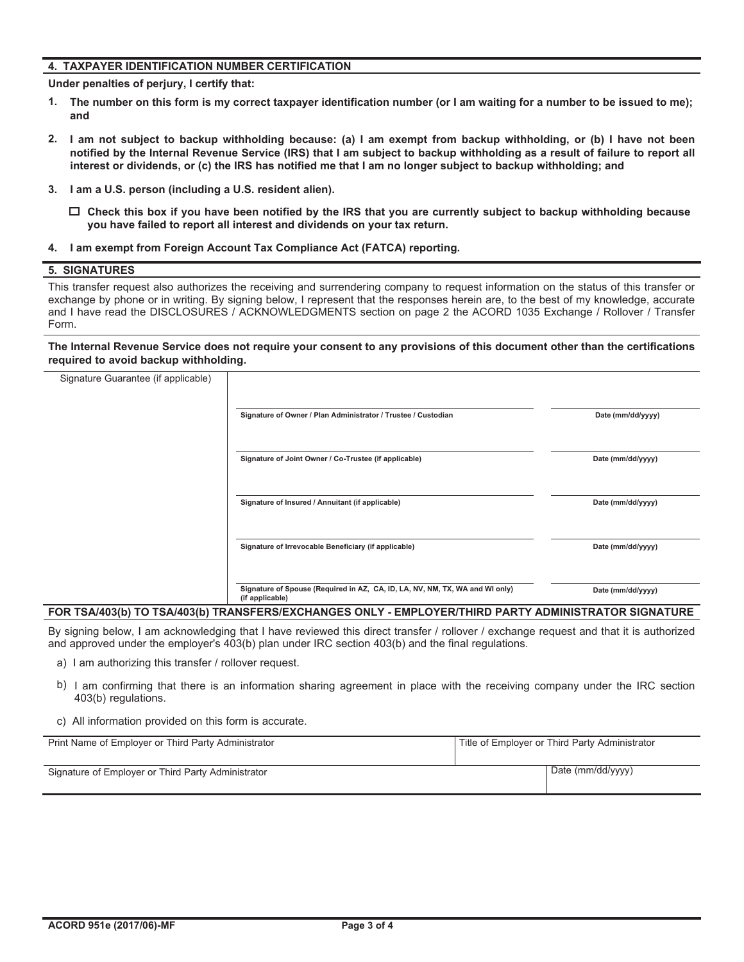#### **4. TAXPAYER IDENTIFICATION NUMBER CERTIFICATION**

**Under penalties of perjury, I certify that:**

- **The number on this form is my correct taxpayer identification number (or I am waiting for a number to be issued to me); 1. and**
- **I am not subject to backup withholding because: (a) I am exempt from backup withholding, or (b) I have not been notified by the Internal Revenue Service (IRS) that I am subject to backup withholding as a result of failure to report all interest or dividends, or (c) the IRS has notified me that I am no longer subject to backup withholding; and 2.**
- **3. I am a U.S. person (including a U.S. resident alien).**
	- **Check this box if you have been notified by the IRS that you are currently subject to backup withholding because you have failed to report all interest and dividends on your tax return.**
- **4. I am exempt from Foreign Account Tax Compliance Act (FATCA) reporting.**

#### **5. SIGNATURES**

This transfer request also authorizes the receiving and surrendering company to request information on the status of this transfer or exchange by phone or in writing. By signing below, I represent that the responses herein are, to the best of my knowledge, accurate and I have read the DISCLOSURES / ACKNOWLEDGMENTS section on page 2 the ACORD 1035 Exchange / Rollover / Transfer Form.

**The Internal Revenue Service does not require your consent to any provisions of this document other than the certifications required to avoid backup withholding.**

| Signature Guarantee (if applicable) |                                                                                                 |                   |
|-------------------------------------|-------------------------------------------------------------------------------------------------|-------------------|
|                                     | Signature of Owner / Plan Administrator / Trustee / Custodian                                   | Date (mm/dd/yyyy) |
|                                     | Signature of Joint Owner / Co-Trustee (if applicable)                                           | Date (mm/dd/yyyy) |
|                                     | Signature of Insured / Annuitant (if applicable)                                                | Date (mm/dd/yyyy) |
|                                     | Signature of Irrevocable Beneficiary (if applicable)                                            | Date (mm/dd/yyyy) |
|                                     | Signature of Spouse (Required in AZ, CA, ID, LA, NV, NM, TX, WA and WI only)<br>(if applicable) | Date (mm/dd/yyyy) |

#### **FOR TSA/403(b) TO TSA/403(b) TRANSFERS/EXCHANGES ONLY - EMPLOYER/THIRD PARTY ADMINISTRATOR SIGNATURE**

By signing below, I am acknowledging that I have reviewed this direct transfer / rollover / exchange request and that it is authorized and approved under the employer's 403(b) plan under IRC section 403(b) and the final regulations.

- a) I am authorizing this transfer / rollover request.
- b) I am confirming that there is an information sharing agreement in place with the receiving company under the IRC section 403(b) regulations.
- c) All information provided on this form is accurate.

| Print Name of Employer or Third Party Administrator | Title of Employer or Third Party Administrator |
|-----------------------------------------------------|------------------------------------------------|
| Signature of Employer or Third Party Administrator  | Date (mm/dd/yyyy)                              |